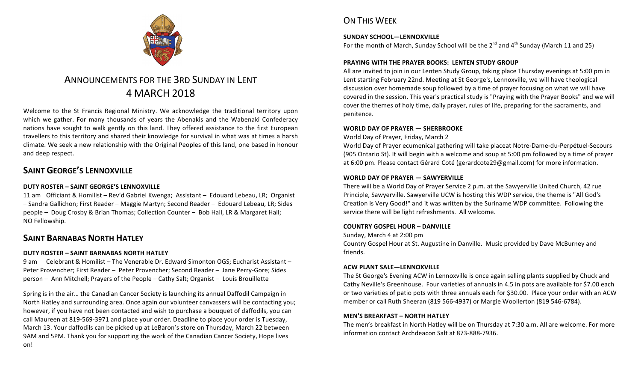

# ANNOUNCEMENTS FOR THE 3RD SUNDAY IN LENT 4 MARCH 2018

Welcome to the St Francis Regional Ministry. We acknowledge the traditional territory upon which we gather. For many thousands of years the Abenakis and the Wabenaki Confederacy nations have sought to walk gently on this land. They offered assistance to the first European travellers to this territory and shared their knowledge for survival in what was at times a harsh climate. We seek a new relationship with the Original Peoples of this land, one based in honour and deep respect.

## **SAINT GEORGE'S LENNOXVILLE**

### **DUTY ROSTER – SAINT GEORGE'S LENNOXVILLE**

11 am Officiant & Homilist – Rev'd Gabriel Kwenga; Assistant – Edouard Lebeau, LR; Organist – Sandra Gallichon; First Reader – Maggie Martyn; Second Reader – Edouard Lebeau, LR; Sides people - Doug Crosby & Brian Thomas; Collection Counter - Bob Hall, LR & Margaret Hall; NO Fellowship.

### **SAINT BARNABAS NORTH HATLEY**

#### **DUTY ROSTER – SAINT BARNABAS NORTH HATLEY**

9 am Celebrant & Homilist – The Venerable Dr. Edward Simonton OGS: Eucharist Assistant – Peter Provencher; First Reader - Peter Provencher; Second Reader - Jane Perry-Gore; Sides person – Ann Mitchell; Prayers of the People – Cathy Salt; Organist – Louis Brouillette

Spring is in the air... the Canadian Cancer Society is launching its annual Daffodil Campaign in North Hatley and surrounding area. Once again our volunteer canvassers will be contacting you; however, if you have not been contacted and wish to purchase a bouquet of daffodils, you can call Maureen at 819-569-3971 and place your order. Deadline to place your order is Tuesday, March 13. Your daffodils can be picked up at LeBaron's store on Thursday, March 22 between 9AM and 5PM. Thank you for supporting the work of the Canadian Cancer Society, Hope lives on!

## ON THIS WFFK

#### SUNDAY SCHOOL-LENNOXVILLE

For the month of March, Sunday School will be the  $2^{nd}$  and  $4^{th}$  Sunday (March 11 and 25)

#### **PRAYING WITH THE PRAYER BOOKS: LENTEN STUDY GROUP**

All are invited to join in our Lenten Study Group, taking place Thursday evenings at 5:00 pm in Lent starting February 22nd. Meeting at St George's, Lennoxville, we will have theological discussion over homemade soup followed by a time of prayer focusing on what we will have covered in the session. This year's practical study is "Praying with the Prayer Books" and we will cover the themes of holy time, daily prayer, rules of life, preparing for the sacraments, and penitence.

#### **WORLD DAY OF PRAYER — SHERBROOKE**

World Day of Prayer, Friday, March 2

World Day of Prayer ecumenical gathering will take placeat Notre-Dame-du-Perpétuel-Secours (905 Ontario St). It will begin with a welcome and soup at 5:00 pm followed by a time of prayer at 6:00 pm. Please contact Gérard Coté (gerardcote29@gmail.com) for more information.

#### **WORLD DAY OF PRAYER — SAWYERVILLE**

There will be a World Day of Prayer Service 2 p.m. at the Sawyerville United Church, 42 rue Principle, Sawyerville. Sawyerville UCW is hosting this WDP service, the theme is "All God's Creation is Very Good!" and it was written by the Suriname WDP committee. Following the service there will be light refreshments. All welcome.

#### **COUNTRY GOSPEL HOUR – DANVILLE**

Sunday, March 4 at 2:00 pm

Country Gospel Hour at St. Augustine in Danville. Music provided by Dave McBurney and friends. 

#### **ACW PLANT SALE—LENNOXVILLE**

The St George's Evening ACW in Lennoxville is once again selling plants supplied by Chuck and Cathy Neville's Greenhouse. Four varieties of annuals in 4.5 in pots are available for \$7.00 each or two varieties of patio pots with three annuals each for \$30.00. Place your order with an ACW member or call Ruth Sheeran (819 566-4937) or Margie Woollerton (819 546-6784).

#### **MEN'S BREAKFAST – NORTH HATLEY**

The men's breakfast in North Hatley will be on Thursday at 7:30 a.m. All are welcome. For more information contact Archdeacon Salt at 873-888-7936.